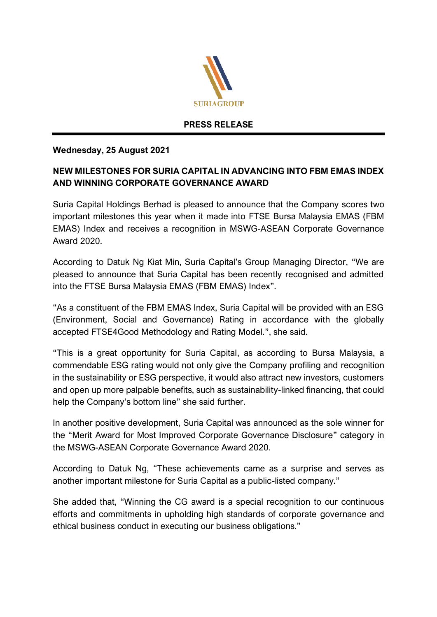

## **PRESS RELEASE**

## **Wednesday, 25 August 2021**

## **NEW MILESTONES FOR SURIA CAPITAL IN ADVANCING INTO FBM EMAS INDEX AND WINNING CORPORATE GOVERNANCE AWARD**

Suria Capital Holdings Berhad is pleased to announce that the Company scores two important milestones this year when it made into FTSE Bursa Malaysia EMAS (FBM EMAS) Index and receives a recognition in MSWG-ASEAN Corporate Governance Award 2020.

According to Datuk Ng Kiat Min, Suria Capital's Group Managing Director, "We are pleased to announce that Suria Capital has been recently recognised and admitted into the FTSE Bursa Malaysia EMAS (FBM EMAS) Index".

"As a constituent of the FBM EMAS Index, Suria Capital will be provided with an ESG (Environment, Social and Governance) Rating in accordance with the globally accepted FTSE4Good Methodology and Rating Model.", she said.

"This is a great opportunity for Suria Capital, as according to Bursa Malaysia, a commendable ESG rating would not only give the Company profiling and recognition in the sustainability or ESG perspective, it would also attract new investors, customers and open up more palpable benefits, such as sustainability-linked financing, that could help the Company's bottom line" she said further.

In another positive development, Suria Capital was announced as the sole winner for the "Merit Award for Most Improved Corporate Governance Disclosure" category in the MSWG-ASEAN Corporate Governance Award 2020.

According to Datuk Ng, "These achievements came as a surprise and serves as another important milestone for Suria Capital as a public-listed company."

She added that, "Winning the CG award is a special recognition to our continuous efforts and commitments in upholding high standards of corporate governance and ethical business conduct in executing our business obligations."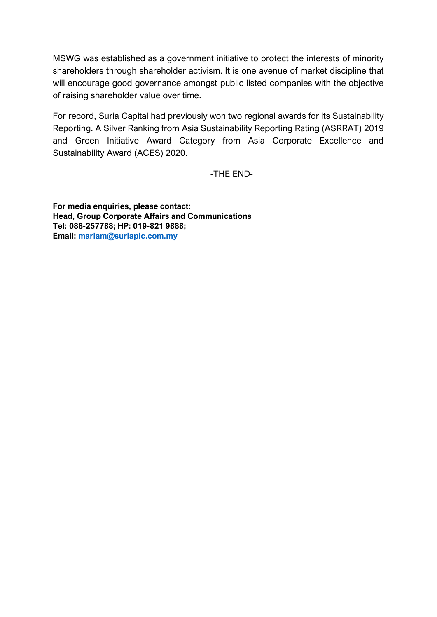MSWG was established as a government initiative to protect the interests of minority shareholders through shareholder activism. It is one avenue of market discipline that will encourage good governance amongst public listed companies with the objective of raising shareholder value over time.

For record, Suria Capital had previously won two regional awards for its Sustainability Reporting. A Silver Ranking from Asia Sustainability Reporting Rating (ASRRAT) 2019 and Green Initiative Award Category from Asia Corporate Excellence and Sustainability Award (ACES) 2020.

-THE END-

**For media enquiries, please contact: Head, Group Corporate Affairs and Communications Tel: 088-257788; HP: 019-821 9888; Email: [mariam@suriaplc.com.my](mailto:mariam@suriaplc.com.my)**